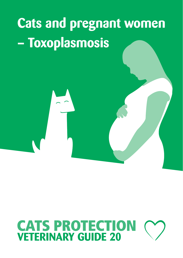

# **CATS PROTECTION**<br>**VETERINARY GUIDE 20**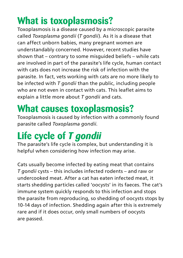## **What is toxoplasmosis?**

Toxoplasmosis is a disease caused by a microscopic parasite called *Toxoplasma gondii* (*T gondii*). As it is a disease that can affect unborn babies, many pregnant women are understandably concerned. However, recent studies have shown that – contrary to some misguided beliefs – while cats are involved in part of the parasite's life cycle, human contact with cats does not increase the risk of infection with the parasite. In fact, vets working with cats are no more likely to be infected with *T gondii* than the public, including people who are not even in contact with cats. This leaflet aims to explain a little more about *T gondii* and cats.

#### **What causes toxoplasmosis?**

Toxoplasmosis is caused by infection with a commonly found parasite called *Toxoplasma gondii*.

## **Life cycle of** *T gondii*

The parasite's life cycle is complex, but understanding it is helpful when considering how infection may arise.

Cats usually become infected by eating meat that contains *T gondii* cysts – this includes infected rodents – and raw or undercooked meat. After a cat has eaten infected meat, it starts shedding particles called 'oocysts' in its faeces. The cat's immune system quickly responds to this infection and stops the parasite from reproducing, so shedding of oocysts stops by 10-14 days of infection. Shedding again after this is extremely rare and if it does occur, only small numbers of oocysts are passed.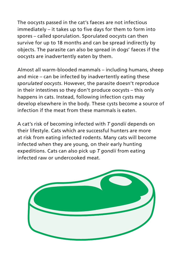The oocysts passed in the cat's faeces are not infectious immediately – it takes up to five days for them to form into spores – called sporulation. Sporulated oocysts can then survive for up to 18 months and can be spread indirectly by objects. The parasite can also be spread in dogs' faeces if the oocysts are inadvertently eaten by them.

Almost all warm-blooded mammals – including humans, sheep and mice – can be infected by inadvertently eating these *sporulated oocysts*. However, the parasite doesn't reproduce in their intestines so they don't produce oocysts – this only happens in cats. Instead, following infection cysts may develop elsewhere in the body. These cysts become a source of infection if the meat from these mammals is eaten.

A cat's risk of becoming infected with *T gondii* depends on their lifestyle. Cats which are successful hunters are more at risk from eating infected rodents. Many cats will become infected when they are young, on their early hunting expeditions. Cats can also pick up *T gondii* from eating infected raw or undercooked meat.

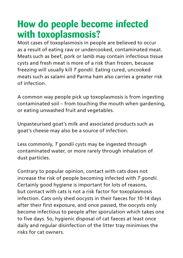#### **How do people become infected with toxoplasmosis?**

Most cases of toxoplasmosis in people are believed to occur as a result of eating raw or undercooked, contaminated meat. Meats such as beef, pork or lamb may contain infectious tissue cysts and fresh meat is more of a risk than frozen, because freezing will usually kill *T gondii*. Eating cured, uncooked meats such as salami and Parma ham also carries a greater risk of infection.

A common way people pick up toxoplasmosis is from ingesting contaminated soil – from touching the mouth when gardening, or eating unwashed fruit and vegetables.

Unpasteurised goat's milk and associated products such as goat's cheese may also be a source of infection.

Less commonly, *T gondii* cysts may be ingested through contaminated water, or more rarely through inhalation of dust particles.

Contrary to popular opinion, contact with cats does not increase the risk of people becoming infected with *T gondii*. Certainly good hygiene is important for lots of reasons, but contact with cats is not a risk factor for toxoplasmosis infection. Cats only shed oocysts in their faeces for 10-14 days after their first exposure, and once passed, the oocysts only become infectious to people after sporulation which takes one to five days. So, hygienic disposal of cat faeces at least once daily and regular disinfection of the litter tray minimises the risks for cat owners.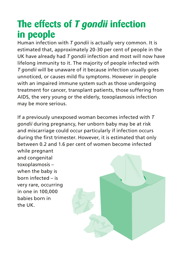#### **The effects of** *T gondii* **infection in people**

Human infection with *T gondii* is actually very common. It is estimated that, approximately 20-30 per cent of people in the UK have already had *T gondii* infection and most will now have lifelong immunity to it. The majority of people infected with *T gondii* will be unaware of it because infection usually goes unnoticed, or causes mild flu symptoms. However in people with an impaired immune system such as those undergoing treatment for cancer, transplant patients, those suffering from AIDS, the very young or the elderly, toxoplasmosis infection may be more serious.

If a previously unexposed woman becomes infected with *T gondii* during pregnancy, her unborn baby may be at risk and miscarriage could occur particularly if infection occurs during the first trimester. However, it is estimated that only between 0.2 and 1.6 per cent of women become infected

while pregnant and congenital toxoplasmosis – when the baby is born infected – is very rare, occurring in one in 100,000 babies born in the UK.

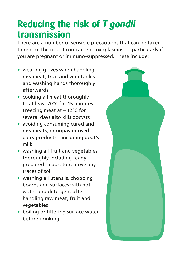#### **Reducing the risk of** *T gondii* **transmission**

There are a number of sensible precautions that can be taken to reduce the risk of contracting toxoplasmosis – particularly if you are pregnant or immuno-suppressed. These include:

- **•** wearing gloves when handling raw meat, fruit and vegetables and washing hands thoroughly afterwards
- **•** cooking all meat thoroughly to at least 70°C for 15 minutes. Freezing meat at – 12°C for several days also kills oocysts
- **•** avoiding consuming cured and raw meats, or unpasteurised dairy products – including goat's milk
- **•** washing all fruit and vegetables thoroughly including readyprepared salads, to remove any traces of soil
- **•** washing all utensils, chopping boards and surfaces with hot water and detergent after handling raw meat, fruit and vegetables
- **•** boiling or filtering surface water before drinking

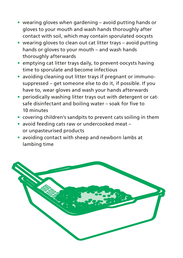- **•** wearing gloves when gardening avoid putting hands or gloves to your mouth and wash hands thoroughly after contact with soil, which may contain sporulated oocysts
- **•** wearing gloves to clean out cat litter trays avoid putting hands or gloves to your mouth – and wash hands thoroughly afterwards
- **•** emptying cat litter trays daily, to prevent oocysts having time to sporulate and become infectious
- **•** avoiding cleaning out litter trays if pregnant or immunosuppressed – get someone else to do it, if possible. If you have to, wear gloves and wash your hands afterwards
- **•** periodically washing litter trays out with detergent or catsafe disinfectant and boiling water – soak for five to 10 minutes
- **•** covering children's sandpits to prevent cats soiling in them
- **•** avoid feeding cats raw or undercooked meat or unpasteurised products
- **•** avoiding contact with sheep and newborn lambs at lambing time

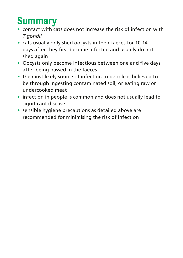## **Summary**

- **•** contact with cats does not increase the risk of infection with *T gondii*
- **•** cats usually only shed oocysts in their faeces for 10-14 days after they first become infected and usually do not shed again
- **•** Oocysts only become infectious between one and five days after being passed in the faeces
- **•** the most likely source of infection to people is believed to be through ingesting contaminated soil, or eating raw or undercooked meat
- **•** infection in people is common and does not usually lead to significant disease
- **•** sensible hygiene precautions as detailed above are recommended for minimising the risk of infection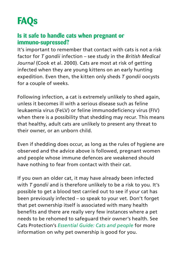## **FAQs**

#### **Is it safe to handle cats when pregnant or immuno-supressed?**

It's important to remember that contact with cats is not a risk factor for *T gondii* infection – see study in the *British Medical Journal* (Cook et al. 2000). Cats are most at risk of getting infected when they are young kittens on an early hunting expedition. Even then, the kitten only sheds *T gondii* oocysts for a couple of weeks.

Following infection, a cat is extremely unlikely to shed again, unless it becomes ill with a serious disease such as feline leukaemia virus (FeLV) or feline immunodeficiency virus (FIV) when there is a possibility that shedding may recur. This means that healthy, adult cats are unlikely to present any threat to their owner, or an unborn child.

Even if shedding does occur, as long as the rules of hygiene are observed and the advice above is followed, pregnant women and people whose immune defences are weakened should have nothing to fear from contact with their cat.

If you own an older cat, it may have already been infected with *T gondii* and is therefore unlikely to be a risk to you. It's possible to get a blood test carried out to see if your cat has been previously infected – so speak to your vet. Don't forget that pet ownership itself is associated with many health benefits and there are really very few instances where a pet needs to be rehomed to safeguard their owner's health. See Cats Protection's *Essential Guide: Cats and people* for more information on why pet ownership is good for you.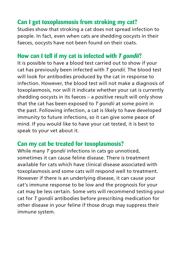#### **Can I get toxoplasmosis from stroking my cat?**

Studies show that stroking a cat does not spread infection to people. In fact, even when cats are shedding oocysts in their faeces, oocysts have not been found on their coats.

#### **How can I tell if my cat is infected with** *T gondii***?**

It is possible to have a blood test carried out to show if your cat has previously been infected with *T gondii*. The blood test will look for antibodies produced by the cat in response to infection. However, the blood test will not make a diagnosis of toxoplasmosis, nor will it indicate whether your cat is currently shedding oocysts in its faeces – a positive result will only show that the cat has been exposed to *T gondii* at some point in the past. Following infection, a cat is likely to have developed immunity to future infections, so it can give some peace of mind. If you would like to have your cat tested, it is best to speak to your vet about it.

#### **Can my cat be treated for toxoplasmosis?**

While many *T gondii* infections in cats go unnoticed, sometimes it can cause feline disease. There is treatment available for cats which have clinical disease associated with toxoplasmosis and some cats will respond well to treatment. However if there is an underlying disease, it can cause your cat's immune response to be low and the prognosis for your cat may be less certain. Some vets will recommend testing your cat for *T gondii* antibodies before prescribing medication for other disease in your feline if those drugs may suppress their immune system.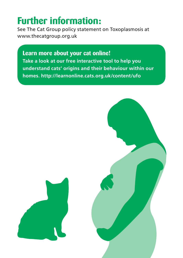### **Further information:**

See The Cat Group policy statement on Toxoplasmosis at www.thecatgroup.org.uk

**Learn more about your cat online! Take a look at our free interactive tool to help you understand cats' origins and their behaviour within our homes. http://learnonline.cats.org.uk/content/ufo**